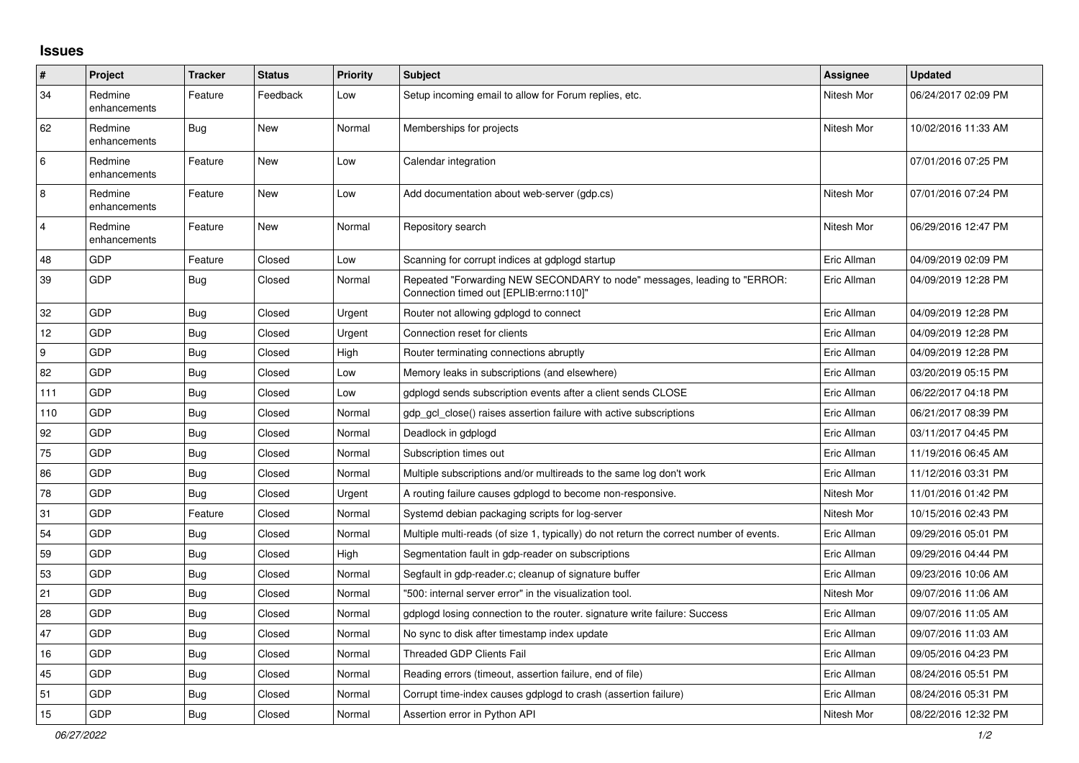## **Issues**

| ∦              | Project                 | <b>Tracker</b> | <b>Status</b> | <b>Priority</b> | <b>Subject</b>                                                                                                      | Assignee    | <b>Updated</b>      |
|----------------|-------------------------|----------------|---------------|-----------------|---------------------------------------------------------------------------------------------------------------------|-------------|---------------------|
| 34             | Redmine<br>enhancements | Feature        | Feedback      | Low             | Setup incoming email to allow for Forum replies, etc.                                                               | Nitesh Mor  | 06/24/2017 02:09 PM |
| 62             | Redmine<br>enhancements | Bug            | <b>New</b>    | Normal          | Memberships for projects                                                                                            | Nitesh Mor  | 10/02/2016 11:33 AM |
| 6              | Redmine<br>enhancements | Feature        | New           | Low             | Calendar integration                                                                                                |             | 07/01/2016 07:25 PM |
| $\overline{8}$ | Redmine<br>enhancements | Feature        | New           | Low             | Add documentation about web-server (gdp.cs)                                                                         | Nitesh Mor  | 07/01/2016 07:24 PM |
| $\overline{4}$ | Redmine<br>enhancements | Feature        | New           | Normal          | Repository search                                                                                                   | Nitesh Mor  | 06/29/2016 12:47 PM |
| 48             | <b>GDP</b>              | Feature        | Closed        | Low             | Scanning for corrupt indices at gdplogd startup                                                                     | Eric Allman | 04/09/2019 02:09 PM |
| 39             | GDP                     | <b>Bug</b>     | Closed        | Normal          | Repeated "Forwarding NEW SECONDARY to node" messages, leading to "ERROR:<br>Connection timed out [EPLIB:errno:110]" | Eric Allman | 04/09/2019 12:28 PM |
| 32             | GDP                     | Bug            | Closed        | Urgent          | Router not allowing gdplogd to connect                                                                              | Eric Allman | 04/09/2019 12:28 PM |
| 12             | GDP                     | Bug            | Closed        | Urgent          | Connection reset for clients                                                                                        | Eric Allman | 04/09/2019 12:28 PM |
| 9              | GDP                     | <b>Bug</b>     | Closed        | High            | Router terminating connections abruptly                                                                             | Eric Allman | 04/09/2019 12:28 PM |
| 82             | GDP                     | <b>Bug</b>     | Closed        | Low             | Memory leaks in subscriptions (and elsewhere)                                                                       | Eric Allman | 03/20/2019 05:15 PM |
| 111            | GDP                     | <b>Bug</b>     | Closed        | Low             | gdplogd sends subscription events after a client sends CLOSE                                                        | Eric Allman | 06/22/2017 04:18 PM |
| 110            | GDP                     | <b>Bug</b>     | Closed        | Normal          | gdp_gcl_close() raises assertion failure with active subscriptions                                                  | Eric Allman | 06/21/2017 08:39 PM |
| 92             | GDP                     | <b>Bug</b>     | Closed        | Normal          | Deadlock in gdplogd                                                                                                 | Eric Allman | 03/11/2017 04:45 PM |
| 75             | GDP                     | <b>Bug</b>     | Closed        | Normal          | Subscription times out                                                                                              | Eric Allman | 11/19/2016 06:45 AM |
| 86             | GDP                     | Bug            | Closed        | Normal          | Multiple subscriptions and/or multireads to the same log don't work                                                 | Eric Allman | 11/12/2016 03:31 PM |
| 78             | GDP                     | <b>Bug</b>     | Closed        | Urgent          | A routing failure causes gdplogd to become non-responsive.                                                          | Nitesh Mor  | 11/01/2016 01:42 PM |
| 31             | GDP                     | Feature        | Closed        | Normal          | Systemd debian packaging scripts for log-server                                                                     | Nitesh Mor  | 10/15/2016 02:43 PM |
| 54             | GDP                     | Bug            | Closed        | Normal          | Multiple multi-reads (of size 1, typically) do not return the correct number of events.                             | Eric Allman | 09/29/2016 05:01 PM |
| 59             | GDP                     | <b>Bug</b>     | Closed        | High            | Segmentation fault in gdp-reader on subscriptions                                                                   | Eric Allman | 09/29/2016 04:44 PM |
| 53             | GDP                     | <b>Bug</b>     | Closed        | Normal          | Segfault in gdp-reader.c; cleanup of signature buffer                                                               | Eric Allman | 09/23/2016 10:06 AM |
| 21             | GDP                     | Bug            | Closed        | Normal          | "500: internal server error" in the visualization tool.                                                             | Nitesh Mor  | 09/07/2016 11:06 AM |
| 28             | GDP                     | <b>Bug</b>     | Closed        | Normal          | gdplogd losing connection to the router. signature write failure: Success                                           | Eric Allman | 09/07/2016 11:05 AM |
| 47             | GDP                     | <b>Bug</b>     | Closed        | Normal          | No sync to disk after timestamp index update                                                                        | Eric Allman | 09/07/2016 11:03 AM |
| 16             | GDP                     | <b>Bug</b>     | Closed        | Normal          | <b>Threaded GDP Clients Fail</b>                                                                                    | Eric Allman | 09/05/2016 04:23 PM |
| 45             | GDP                     | Bug            | Closed        | Normal          | Reading errors (timeout, assertion failure, end of file)                                                            | Eric Allman | 08/24/2016 05:51 PM |
| 51             | GDP                     | <b>Bug</b>     | Closed        | Normal          | Corrupt time-index causes gdplogd to crash (assertion failure)                                                      | Eric Allman | 08/24/2016 05:31 PM |
| 15             | GDP                     | Bug            | Closed        | Normal          | Assertion error in Python API                                                                                       | Nitesh Mor  | 08/22/2016 12:32 PM |